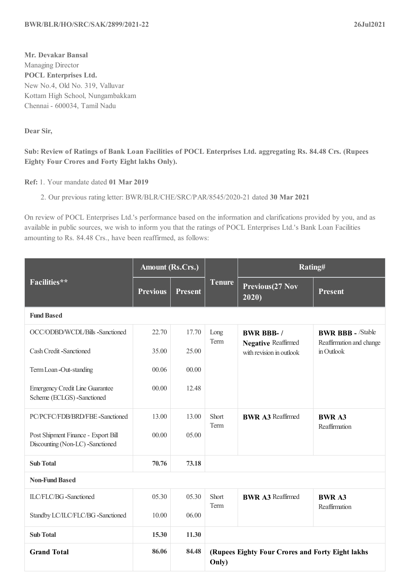**Dear Sir,**

## Sub: Review of Ratings of Bank Loan Facilities of POCL Enterprises Ltd. aggregating Rs. 84.48 Crs. (Rupees **Eighty Four Crores and Forty Eight lakhs Only).**

**Ref:** 1. Your mandate dated **01 Mar 2019**

2. Our previous rating letter: BWR/BLR/CHE/SRC/PAR/8545/2020-21 dated **30 Mar 2021**

On review of POCL Enterprises Ltd.'s performance based on the information and clarifications provided by you, and as available in public sources, we wish to inform you that the ratings of POCL Enterprises Ltd.'s Bank Loan Facilities amounting to Rs. 84.48 Crs., have been reaffirmed, as follows:

|                                                                         | <b>Amount (Rs.Crs.)</b> |                |                                                           | Rating#                                                |                                        |
|-------------------------------------------------------------------------|-------------------------|----------------|-----------------------------------------------------------|--------------------------------------------------------|----------------------------------------|
| Facilities**                                                            | <b>Previous</b>         | <b>Present</b> | <b>Tenure</b>                                             | Previous (27 Nov<br>2020)                              | <b>Present</b>                         |
| <b>Fund Based</b>                                                       |                         |                |                                                           |                                                        |                                        |
| OCC/ODBD/WCDL/Bills -Sanctioned                                         | 22.70                   | 17.70          | Long<br>Term                                              | <b>BWR BBB-/</b>                                       | <b>BWR BBB - /Stable</b>               |
| Cash Credit -Sanctioned                                                 | 35.00                   | 25.00          |                                                           | <b>Negative Reaffirmed</b><br>with revision in outlook | Reaffirmation and change<br>in Outlook |
| Term Loan -Out-standing                                                 | 00.06                   | 00.00          |                                                           |                                                        |                                        |
| <b>Emergency Credit Line Guarantee</b><br>Scheme (ECLGS) -Sanctioned    | 00.00                   | 12.48          |                                                           |                                                        |                                        |
| PC/PCFC/FDB/BRD/FBE-Sanctioned                                          | 13.00                   | 13.00          | Short<br>Term                                             | <b>BWR A3 Reaffirmed</b>                               | <b>BWR A3</b><br>Reaffirmation         |
| Post Shipment Finance - Export Bill<br>Discounting (Non-LC) -Sanctioned | 00.00                   | 05.00          |                                                           |                                                        |                                        |
| <b>Sub Total</b>                                                        | 70.76                   | 73.18          |                                                           |                                                        |                                        |
| <b>Non-Fund Based</b>                                                   |                         |                |                                                           |                                                        |                                        |
| ILC/FLC/BG -Sanctioned                                                  | 05.30                   | 05.30          | Short<br>Term                                             | <b>BWR A3 Reaffirmed</b>                               | <b>BWR A3</b><br>Reaffirmation         |
| Standby LC/ILC/FLC/BG -Sanctioned                                       | 10.00                   | 06.00          |                                                           |                                                        |                                        |
| <b>Sub Total</b>                                                        | 15.30                   | 11.30          |                                                           |                                                        |                                        |
| <b>Grand Total</b>                                                      | 86.06                   | 84.48          | (Rupees Eighty Four Crores and Forty Eight lakhs<br>Only) |                                                        |                                        |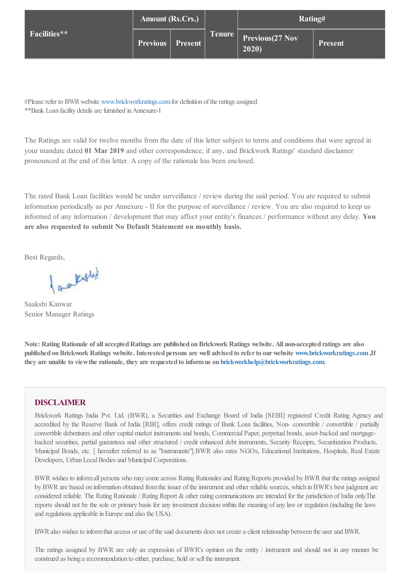|              | <b>Amount (Rs.Crs.)</b>   |  |               | Rating#                         |                |
|--------------|---------------------------|--|---------------|---------------------------------|----------------|
| Facilities** | <b>Previous</b>   Present |  | <b>Tenure</b> | <b>Previous</b> (27 Nov<br>2020 | <b>Present</b> |

#Please refer to BWR website [www.brickworkratings.com](https://www.brickworkratings.com) for definition of the ratings assigned \*\*Bank Loan facility details are furnished in Annexure-I

The Ratings are valid for twelve months from the date of this letter subject to terms and conditions that were agreed in your mandate dated **01 Mar 2019** and other correspondence, if any, and Brickwork Ratings' standard disclaimer pronounced at the end of this letter. A copy of the rationale has been enclosed.

The rated Bank Loan facilities would be under surveillance / review during the said period. You are required to submit information periodically as per Annexure - II for the purpose of surveillance / review. You are also required to keep us informed of any information / development that may affect your entity's finances / performance without any delay. **You are also requested to submit No Default Statement on monthly basis.**

Best Regards,

factive

Saakshi Kanwar Senior Manager Ratings

Note: Rating Rationale of all accepted Ratings are published on Brickwork Ratings website. All non-accepted ratings are also **published onBrickwork Ratings website. Interested persons are well advised to referto ourwebsite [www.brickworkratings.com,](https://www.brickworkratings.com)If they are unable to viewthe rationale, they are requested to informus on [brickworkhelp@brickworkratings.com](mailto:brickworkhelp@brickworkratings.com).**

## **DISCLAIMER**

Brickwork Ratings India Pvt. Ltd. (BWR), a Securities and Exchange Board of India [SEBI] registered Credit Rating Agency and accredited by the Reserve Bank of India [RBI], offers credit ratings of Bank Loan facilities, Non- convertible / convertible / partially convertible debentures and other capital market instruments and bonds, Commercial Paper, perpetual bonds, asset-backed and mortgagebacked securities, partial guarantees and other structured / credit enhanced debt instruments, Security Receipts, Securitization Products, Municipal Bonds, etc. [ hereafter referred to as "Instruments"].BWR also rates NGOs, Educational Institutions, Hospitals, Real Estate Developers, Urban Local Bodies and Municipal Corporations.

BWR wishes to inform all persons who may come across Rating Rationales and Rating Reports provided by BWR that the ratings assigned by BWR are based on information obtained from the issuer of the instrument and other reliable sources, which in BWR's best judgment are considered reliable. The Rating Rationale / Rating Report & other rating communications are intended for the jurisdiction of India only. The reports should not be the sole or primary basis for any investment decision within the meaning ofany law or regulation (including the laws and regulations applicable in Europe and also the USA).

BWR also wishes to inform that access or use of the said documents does not create a client relationship between the user and BWR.

The ratings assigned by BWR are only an expression of BWR's opinion on the entity / instrument and should not in any manner be construed as being a recommendation to either, purchase, hold or sell the instrument.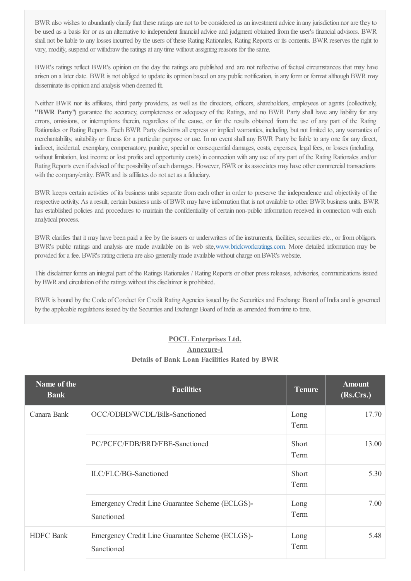BWR also wishes to abundantly clarify that these ratings are not to be considered as an investment advice in any jurisdiction nor are they to be used as a basis for or as an alternative to independent financialadvice and judgment obtained fromthe user's financialadvisors. BWR shall not be liable to any losses incurred by the users of these Rating Rationales, Rating Reports or its contents. BWR reserves the right to vary, modify, suspend or withdraw the ratings at any time without assigning reasons for the same.

BWR's ratings reflect BWR's opinion on the day the ratings are published and are not reflective of factual circumstances that may have arisen on a later date. BWR is not obliged to update its opinion based on any public notification, in any formor formatalthough BWR may disseminate its opinion and analysis when deemed fit.

Neither BWR nor its affiliates, third party providers, as well as the directors, officers, shareholders, employees or agents (collectively, **"BWR Party"**) guarantee the accuracy, completeness or adequacy of the Ratings, and no BWR Party shall have any liability for any errors, omissions, or interruptions therein, regardless of the cause, or for the results obtained from the use of any part of the Rating Rationales or Rating Reports. Each BWR Party disclaims allexpress or implied warranties, including, but not limited to, any warranties of merchantability, suitability or fitness for a particular purpose or use. In no event shallany BWR Party be liable to any one for any direct, indirect, incidental, exemplary, compensatory, punitive, special or consequential damages, costs, expenses, legal fees, or losses (including, without limitation, lost income or lost profits and opportunity costs) in connection with any use ofany part of the Rating Rationales and/or Rating Reports even if advised of the possibility of such damages. However, BWR or its associates may have other commercial transactions with the company/entity. BWR and its affiliates do not act as a fiduciary.

BWR keeps certain activities of its business units separate fromeach other in order to preserve the independence and objectivity of the respective activity. As a result, certain business units of BWR may have information that is not available to other BWR business units. BWR has established policies and procedures to maintain the confidentiality of certain non-public information received in connection with each analytical process.

BWR clarifies that it may have been paid a fee by the issuers or underwriters of the instruments, facilities, securities etc., or fromobligors. BWR's public ratings and analysis are made available on its web site[,www.brickworkratings.com](https://www.brickworkratings.com). More detailed information may be provided for a fee. BWR's rating criteria are also generally made available without charge on BWR's website.

This disclaimer forms an integral part of the Ratings Rationales / Rating Reports or other press releases, advisories, communications issued by BWR and circulation of the ratings without this disclaimer is prohibited.

BWR is bound by the Code of Conduct for Credit RatingAgencies issued by the Securities and Exchange Board of India and is governed by the applicable regulations issued by the Securities and Exchange Board of India as amended from time to time.

## **POCL Enterprises Ltd. Annexure-I Details of Bank Loan Facilities Rated by BWR**

| Name of the<br><b>Bank</b> | <b>Facilities</b>                                             | <b>Tenure</b> | <b>Amount</b><br>(Rs.Crs.) |
|----------------------------|---------------------------------------------------------------|---------------|----------------------------|
| Canara Bank                | OCC/ODBD/WCDL/Bills-Sanctioned                                | Long<br>Term  | 17.70                      |
|                            | PC/PCFC/FDB/BRD/FBE-Sanctioned                                | Short<br>Term | 13.00                      |
|                            | ILC/FLC/BG-Sanctioned                                         | Short<br>Term | 5.30                       |
|                            | Emergency Credit Line Guarantee Scheme (ECLGS)-<br>Sanctioned | Long<br>Term  | 7.00                       |
| <b>HDFC</b> Bank           | Emergency Credit Line Guarantee Scheme (ECLGS)-<br>Sanctioned | Long<br>Term  | 5.48                       |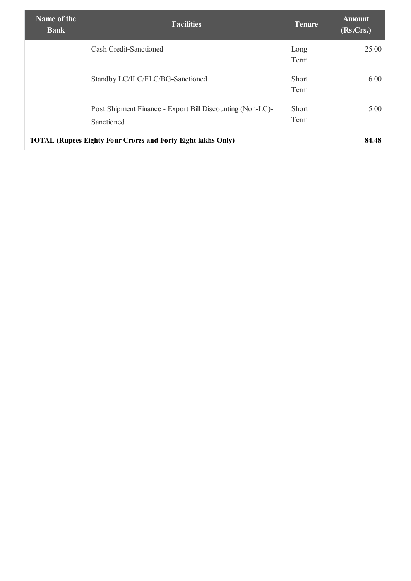| Name of the<br><b>Bank</b>                                          | <b>Facilities</b>                                                       | Tenure               | <b>Amount</b><br>(Rs.Crs.) |
|---------------------------------------------------------------------|-------------------------------------------------------------------------|----------------------|----------------------------|
|                                                                     | Cash Credit-Sanctioned                                                  | Long<br>Term         | 25.00                      |
|                                                                     | Standby LC/ILC/FLC/BG-Sanctioned                                        | Short<br>Term        | 6.00                       |
|                                                                     | Post Shipment Finance - Export Bill Discounting (Non-LC)-<br>Sanctioned | <b>Short</b><br>Term | 5.00                       |
| <b>TOTAL (Rupees Eighty Four Crores and Forty Eight lakhs Only)</b> |                                                                         |                      | 84.48                      |